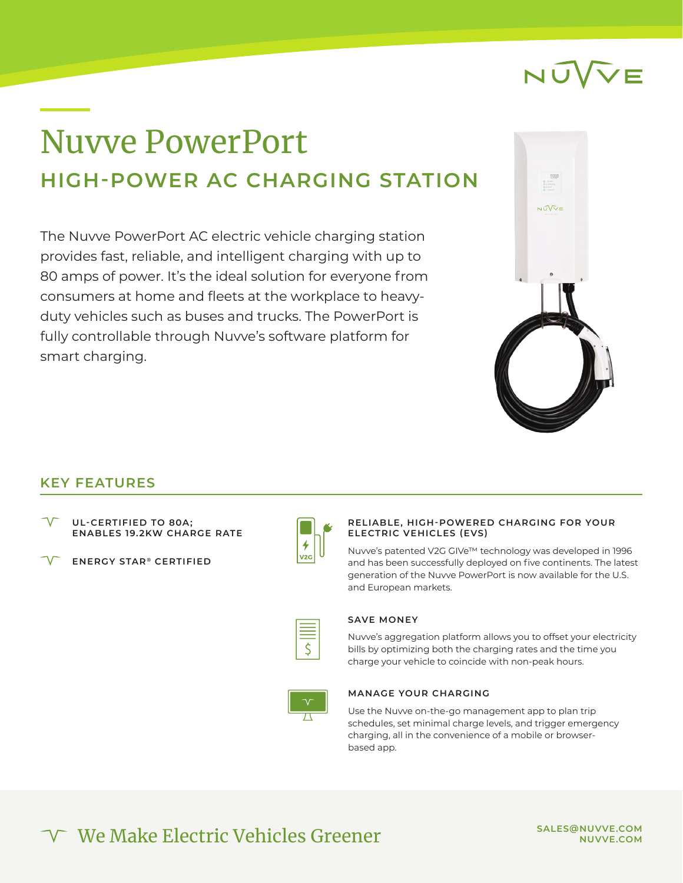## Nuvve PowerPort **HIGH-POWER AC CHARGING STATION**

The Nuvve PowerPort AC electric vehicle charging station provides fast, reliable, and intelligent charging with up to 80 amps of power. It's the ideal solution for everyone from consumers at home and fleets at the workplace to heavyduty vehicles such as buses and trucks. The PowerPort is fully controllable through Nuvve's software platform for smart charging.



### **KEY FEATURES**

| $\sqrt{}$ | <b>UL-CERTIFIED TO 80A;</b>       |  |  |
|-----------|-----------------------------------|--|--|
|           | <b>ENABLES 19.2KW CHARGE RATE</b> |  |  |

**ENERGY STAR ® CERTIFIED**



#### **RELIABLE, HIGH-POWERED CHARGING FOR YOUR ELECTRIC VEHICLES (EVS)**

Nuvve's patented V2G GIVe™ technology was developed in 1996 and has been successfully deployed on five continents. The latest generation of the Nuvve PowerPort is now available for the U.S. and European markets.

#### **SAVE MONEY**

Nuvve's aggregation platform allows you to offset your electricity bills by optimizing both the charging rates and the time you charge your vehicle to coincide with non-peak hours.



#### **MANAGE YOUR CHARGING**

Use the Nuvve on-the-go management app to plan trip schedules, set minimal charge levels, and trigger emergency charging, all in the convenience of a mobile or browserbased app.

We Make Electric Vehicles Greener